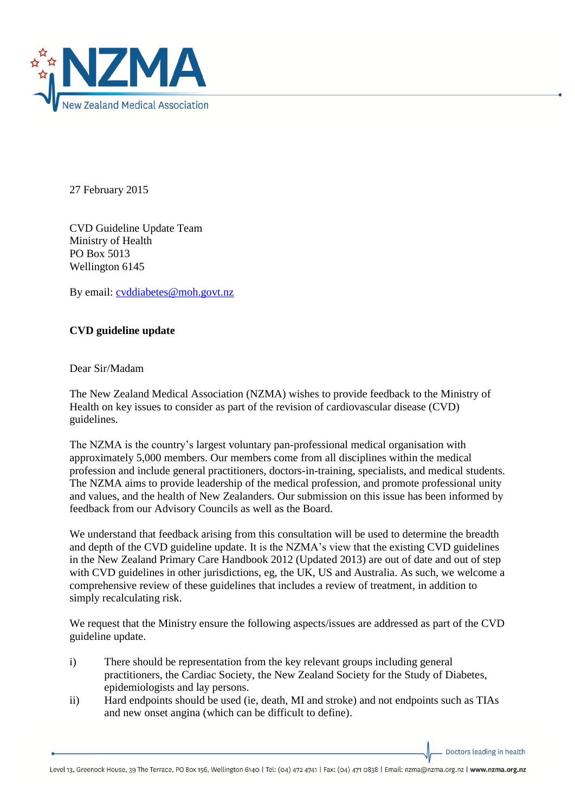

27 February 2015

CVD Guideline Update Team Ministry of Health PO Box 5013 Wellington 6145

By email: [cvddiabetes@moh.govt.nz](mailto:cvddiabetes@moh.govt.nz)

## **CVD guideline update**

Dear Sir/Madam

The New Zealand Medical Association (NZMA) wishes to provide feedback to the Ministry of Health on key issues to consider as part of the revision of cardiovascular disease (CVD) guidelines.

The NZMA is the country's largest voluntary pan-professional medical organisation with approximately 5,000 members. Our members come from all disciplines within the medical profession and include general practitioners, doctors-in-training, specialists, and medical students. The NZMA aims to provide leadership of the medical profession, and promote professional unity and values, and the health of New Zealanders. Our submission on this issue has been informed by feedback from our Advisory Councils as well as the Board.

We understand that feedback arising from this consultation will be used to determine the breadth and depth of the CVD guideline update. It is the NZMA's view that the existing CVD guidelines in the New Zealand Primary Care Handbook 2012 (Updated 2013) are out of date and out of step with CVD guidelines in other jurisdictions, eg, the UK, US and Australia. As such, we welcome a comprehensive review of these guidelines that includes a review of treatment, in addition to simply recalculating risk.

We request that the Ministry ensure the following aspects/issues are addressed as part of the CVD guideline update.

- i) There should be representation from the key relevant groups including general practitioners, the Cardiac Society, the New Zealand Society for the Study of Diabetes, epidemiologists and lay persons.
- ii) Hard endpoints should be used (ie, death, MI and stroke) and not endpoints such as TIAs and new onset angina (which can be difficult to define).

Doctors leading in health